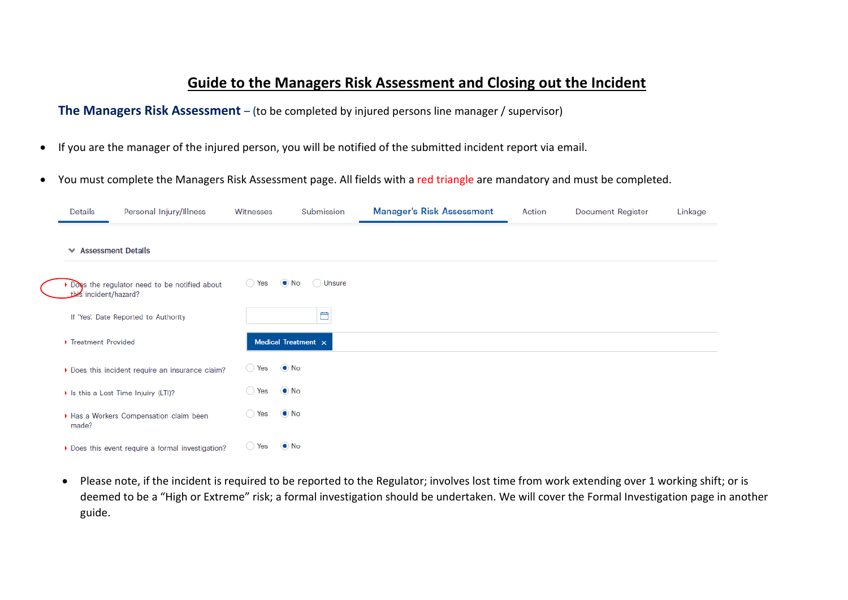## **Guide to the Managers Risk Assessment and Closing out the Incident**

**The Managers Risk Assessment** – (to be completed by injured persons line manager / supervisor)

- If you are the manager of the injured person, you will be notified of the submitted incident report via email.
- You must complete the Managers Risk Assessment page. All fields with a red triangle are mandatory and must be completed.

| Details                     | Personal Injury/Illness                         | Witnesses      | Submission               | <b>Manager's Risk Assessment</b> | Action | <b>Document Register</b> | Linkage |
|-----------------------------|-------------------------------------------------|----------------|--------------------------|----------------------------------|--------|--------------------------|---------|
| <b>★ Assessment Details</b> |                                                 |                |                          |                                  |        |                          |         |
| this incident/hazard?       | Does the regulator need to be notified about    | $\bigcirc$ Yes | $\bullet$ No<br>O Unsure |                                  |        |                          |         |
|                             | If 'Yes', Date Reported to Authority            |                | ₿                        |                                  |        |                          |         |
| ▶ Treatment Provided        |                                                 |                | Medical Treatment x      |                                  |        |                          |         |
|                             | Does this incident require an insurance claim?  | $\bigcirc$ Yes | $\odot$ No               |                                  |        |                          |         |
|                             | In Is this a Lost Time Injuiry (LTI)?           | $\bigcirc$ Yes | $\bullet$ No             |                                  |        |                          |         |
| made?                       | Has a Workers Compensation claim been           | ◯ Yes          | $\bullet$ No             |                                  |        |                          |         |
|                             | Does this event require a formal investigation? | ◯ Yes          | $\bullet$ No             |                                  |        |                          |         |

• Please note, if the incident is required to be reported to the Regulator; involves lost time from work extending over 1 working shift; or is deemed to be a "High or Extreme" risk; a formal investigation should be undertaken. We will cover the Formal Investigation page in another guide.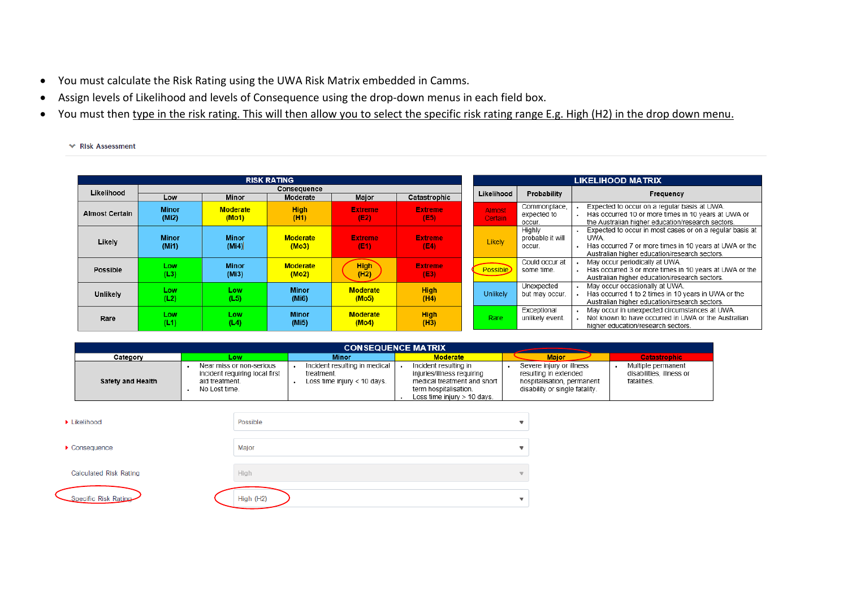- You must calculate the Risk Rating using the UWA Risk Matrix embedded in Camms.
- Assign levels of Likelihood and levels of Consequence using the drop-down menus in each field box.
- You must then type in the risk rating. This will then allow you to select the specific risk rating range E.g. High (H2) in the drop down menu.
	- **₩** Risk Assessment

|                       |                                    |                          | <b>RISK RATING</b>       |                          |                        | LIKELIHOOD MATRIX               |                                      |                                                                                                                                                                             |  |  |
|-----------------------|------------------------------------|--------------------------|--------------------------|--------------------------|------------------------|---------------------------------|--------------------------------------|-----------------------------------------------------------------------------------------------------------------------------------------------------------------------------|--|--|
| Likelihood            | Low                                | <b>Minor</b>             | Consequence<br>Moderate  | Major                    | Catastrophic           | Likelihood                      | Probability                          | Frequency                                                                                                                                                                   |  |  |
|                       |                                    |                          |                          |                          |                        |                                 | Commonplace,                         | Expected to occur on a regular basis at UWA.                                                                                                                                |  |  |
| <b>Almost Certain</b> | <b>Minor</b><br>(Mi2)              | <b>Moderate</b><br>(Mo1) | <b>High</b><br>(H1)      | Extreme/<br>(E2)         | <b>Extreme</b><br>(E5) | <b>Almost</b><br><b>Certain</b> | expected to<br>occur.                | Has occurred 10 or more times in 10 years at UWA or<br>the Australian higher education/research sectors.                                                                    |  |  |
| Likely                | <b>Minor</b><br>(M <sub>i</sub> 1) | <b>Minor</b><br>(Mi4)    | <b>Moderate</b><br>(Mo3) | <b>Extreme</b><br>(E1)   | <b>Extreme</b><br>(E4) | <b>Likely</b>                   | Highly<br>probable it will<br>occur. | Expected to occur in most cases or on a regular basis at<br>UWA.<br>Has occurred 7 or more times in 10 years at UWA or the<br>Australian higher education/research sectors. |  |  |
| <b>Possible</b>       | Low<br>(L3)                        | <b>Minor</b><br>(Mi3)    | <b>Moderate</b><br>(Mo2) | <b>High</b><br>(H2)      | <b>Extreme</b><br>(E3) | Possible                        | Could occur at<br>some time.         | May occur periodically at UWA.<br>Has occurred 3 or more times in 10 years at UWA or the<br>Australian higher education/research sectors.                                   |  |  |
| Unlikely              | Low<br>(L2)                        | Low<br>(L5)              | <b>Minor</b><br>(Mi6)    | <b>Moderate</b><br>(Mo5) | <b>High</b><br>(H4)    | Unlikely                        | Unexpected<br>but may occur.         | May occur occasionally at UWA.<br>Has occurred 1 to 2 times in 10 years in UWA or the<br>Australian higher education/research sectors.                                      |  |  |
| Rare                  | Low<br>(L1)                        | Low<br>(L4)              | <b>Minor</b><br>(Mi5)    | <b>Moderate</b><br>(Mo4) | <b>High</b><br>(H3)    | Rare                            | Exceptional<br>unlikely event.       | May occur in unexpected circumstances at UWA.<br>Not known to have occurred in UWA or the Australian<br>higher education/research sectors.                                  |  |  |

| <b>CONSEQUENCE MATRIX</b> |                                                                                               |                                                                            |                                                                                                                                           |                                                                                                                   |                                                               |  |  |  |  |  |  |  |  |
|---------------------------|-----------------------------------------------------------------------------------------------|----------------------------------------------------------------------------|-------------------------------------------------------------------------------------------------------------------------------------------|-------------------------------------------------------------------------------------------------------------------|---------------------------------------------------------------|--|--|--|--|--|--|--|--|
| Category                  | LOW                                                                                           | Minor                                                                      | <b>Moderate</b>                                                                                                                           | <b>Major</b>                                                                                                      | <b>Catastrophic</b>                                           |  |  |  |  |  |  |  |  |
| Safety and Health         | Near miss or non-serious<br>incident requiring local first<br>aid treatment.<br>No Lost time. | Incident resulting in medical<br>treatment.<br>Loss time injury < 10 days. | Incident resulting in<br>injuries/illness requiring<br>medical treatment and short<br>term hospitalisation.<br>Loss time iniury > 10 days | Severe injury or illness<br>resulting in extended<br>hospitalisation, permanent<br>disability or single fatality. | Multiple permanent<br>disabilities, illness or<br>fatalities. |  |  |  |  |  |  |  |  |

| Likelihood                        | Possible  |                          |
|-----------------------------------|-----------|--------------------------|
| $\blacktriangleright$ Consequence | Major     |                          |
| <b>Calculated Risk Rating</b>     | High      | $\overline{\phantom{a}}$ |
| Specific Risk Rating              | High (H2) |                          |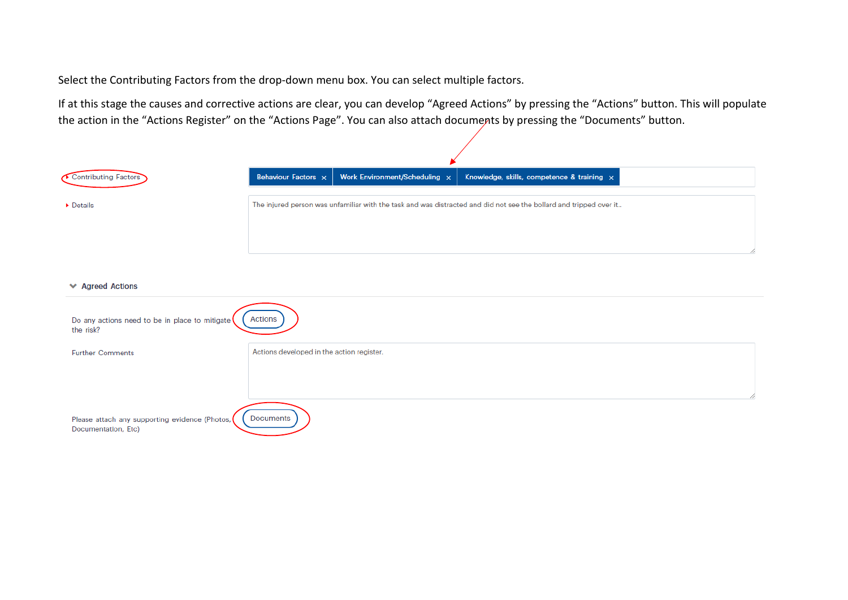Select the Contributing Factors from the drop-down menu box. You can select multiple factors.

If at this stage the causes and corrective actions are clear, you can develop "Agreed Actions" by pressing the "Actions" button. This will populate the action in the "Actions Register" on the "Actions Page". You can also attach documents by pressing the "Documents" button.

| Contributing Factors                                                  | Behaviour Factors x                       | Work Environment/Scheduling x | Knowledge, skills, competence & training x                                                                         |  |
|-----------------------------------------------------------------------|-------------------------------------------|-------------------------------|--------------------------------------------------------------------------------------------------------------------|--|
| $\triangleright$ Details                                              |                                           |                               | The injured person was unfamiliar with the task and was distracted and did not see the bollard and tripped over it |  |
|                                                                       |                                           |                               |                                                                                                                    |  |
| <b>★ Agreed Actions</b>                                               |                                           |                               |                                                                                                                    |  |
| Do any actions need to be in place to mitigate<br>the risk?           | Actions                                   |                               |                                                                                                                    |  |
| <b>Further Comments</b>                                               | Actions developed in the action register. |                               |                                                                                                                    |  |
|                                                                       |                                           |                               |                                                                                                                    |  |
| Please attach any supporting evidence (Photos,<br>Documentation, Etc) | Documents                                 |                               |                                                                                                                    |  |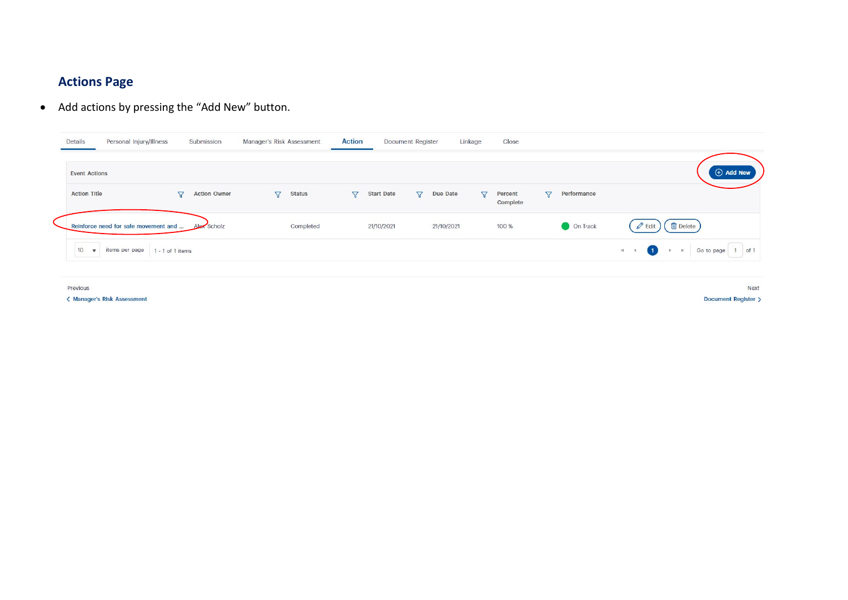# **Actions Page**

• Add actions by pressing the "Add New" button.

| Details              | Personal Injury/Illness              |                | Submission          | Manager's Risk Assessment |               | <b>Action</b>  |                   | <b>Document Register</b> |            | Linkage         | Close               |                 |             |             |                                              |                   |                  |  |
|----------------------|--------------------------------------|----------------|---------------------|---------------------------|---------------|----------------|-------------------|--------------------------|------------|-----------------|---------------------|-----------------|-------------|-------------|----------------------------------------------|-------------------|------------------|--|
| <b>Event Actions</b> |                                      |                |                     |                           |               |                |                   |                          |            |                 |                     |                 |             |             |                                              |                   | $\oplus$ Add New |  |
| <b>Action Title</b>  |                                      | $\overline{z}$ | <b>Action Owner</b> | $\nabla$                  | <b>Status</b> | $\overline{Y}$ | <b>Start Date</b> | $\triangledown$          | Due Date   | $\triangledown$ | Percent<br>Complete | $\triangledown$ | Performance |             |                                              |                   |                  |  |
|                      | Reinforce need for safe movement and |                | Alex Scholz         |                           | Completed     |                | 21/10/2021        |                          | 21/10/2021 |                 | 100 %               |                 | On Track    |             | <b>fil</b> Delete<br>$\mathscr O$ Edit       |                   |                  |  |
| $10 \times$          | items per page   1 - 1 of 1 items    |                |                     |                           |               |                |                   |                          |            |                 |                     |                 |             | $R = 4$ (1) | $\mathbb{P} \qquad \mathbb{P} \qquad \qquad$ | Go to page 1 of 1 |                  |  |

Previous

< Manager's Risk Assessment

**Next** Document Register >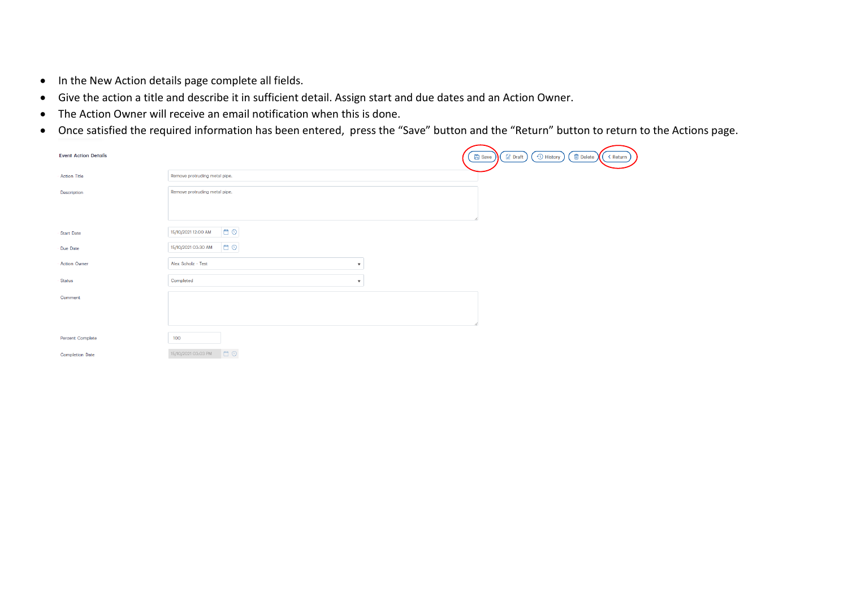- In the New Action details page complete all fields.
- Give the action a title and describe it in sufficient detail. Assign start and due dates and an Action Owner.
- The Action Owner will receive an email notification when this is done.
- Once satisfied the required information has been entered, press the "Save" button and the "Return" button to return to the Actions page.

| <b>Event Action Details</b> |                                               | <sup>O</sup> History<br><b>fi</b> Delete<br><b>Z</b> Draft<br><b>凸</b> Save<br>< Return |
|-----------------------------|-----------------------------------------------|-----------------------------------------------------------------------------------------|
| · Action Title              | Remove protruding metal pipe.                 |                                                                                         |
| Description                 | Remove protruding metal pipe.                 |                                                                                         |
|                             |                                               |                                                                                         |
|                             |                                               |                                                                                         |
| · Start Date                | OB<br>15/10/2021 12:00 AM                     |                                                                                         |
| · Due Date                  | <b>E</b> O<br>15/10/2021 03:30 AM             |                                                                                         |
| · Action Owner              | Alex Scholz - Test<br>$\overline{\mathbf{v}}$ |                                                                                         |
| · Status                    | Completed<br>$\mathbf{v}$                     |                                                                                         |
| Comment                     |                                               |                                                                                         |
|                             |                                               |                                                                                         |
|                             |                                               |                                                                                         |
| <b>Percent Complete</b>     | 100                                           |                                                                                         |
| <b>Completion Date</b>      | IO <sub>O</sub><br>15/10/2021 03:03 PM        |                                                                                         |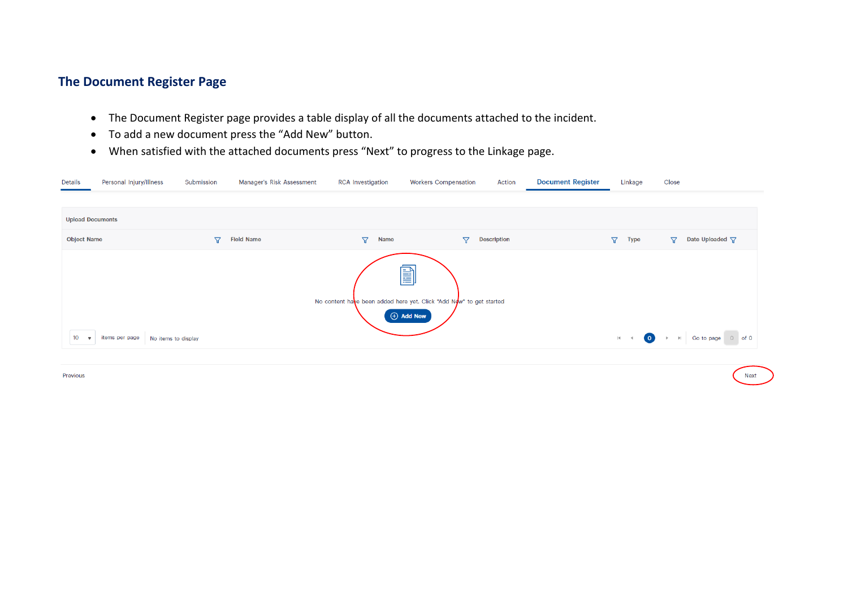### **The Document Register Page**

- The Document Register page provides a table display of all the documents attached to the incident.
- To add a new document press the "Add New" button.
- When satisfied with the attached documents press "Next" to progress to the Linkage page.

| Details                                     | Personal Injury/Illness                                                                                                                                                                                                                     | Submission          | Manager's Risk Assessment | <b>RCA</b> Investigation       | <b>Workers Compensation</b> | Action | <b>Document Register</b> | Linkage                 | Close                               |  |  |  |
|---------------------------------------------|---------------------------------------------------------------------------------------------------------------------------------------------------------------------------------------------------------------------------------------------|---------------------|---------------------------|--------------------------------|-----------------------------|--------|--------------------------|-------------------------|-------------------------------------|--|--|--|
|                                             |                                                                                                                                                                                                                                             |                     |                           |                                |                             |        |                          |                         |                                     |  |  |  |
| <b>Upload Documents</b>                     |                                                                                                                                                                                                                                             |                     |                           |                                |                             |        |                          |                         |                                     |  |  |  |
| <b>Object Name</b>                          |                                                                                                                                                                                                                                             | $\overline{\nabla}$ | <b>Field Name</b>         | $\triangledown$<br><b>Name</b> | $\triangledown$             |        |                          | $\Delta$<br><b>Type</b> | Date Uploaded \7<br>$\triangledown$ |  |  |  |
| 10 <sup>°</sup><br>$\overline{\phantom{a}}$ | <b>Description</b><br>e)<br>No content have been added here yet. Click "Add Now" to get started<br>$\Theta$ Add New<br>■ Go to page 0 of 0<br>$\circ$<br>items per page<br>No items to display<br>$ 4 \rangle$ $ 4 \rangle$<br>$\mathbb{P}$ |                     |                           |                                |                             |        |                          |                         |                                     |  |  |  |

**Next** 

Previous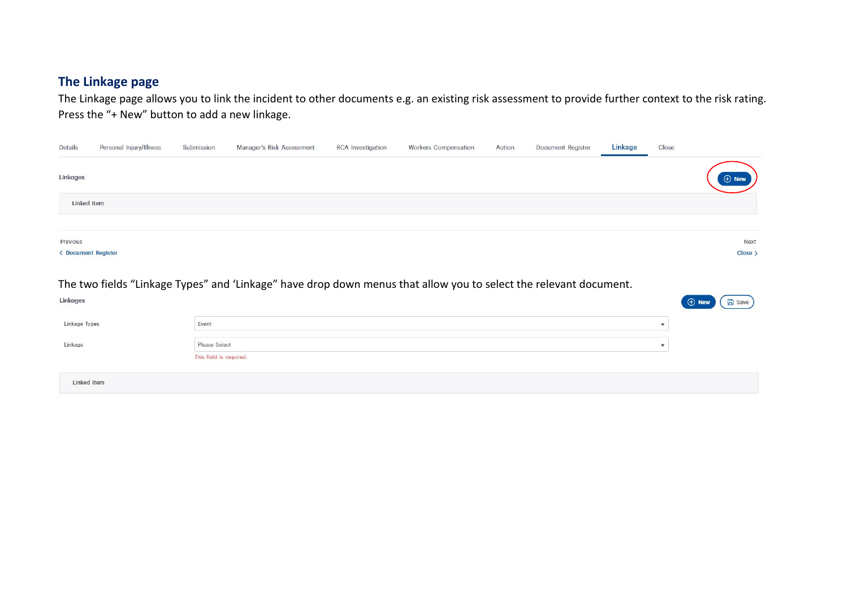#### **The Linkage page**

The Linkage page allows you to link the incident to other documents e.g. an existing risk assessment to provide further context to the risk rating. Press the "+ New" button to add a new linkage.

| Details             | Personal Injury/Illness | Submission | Manager's Risk Assessment | <b>RCA</b> Investigation | <b>Workers Compensation</b> | Action | Document Register | Linkage | Close |                 |
|---------------------|-------------------------|------------|---------------------------|--------------------------|-----------------------------|--------|-------------------|---------|-------|-----------------|
| Linkages            |                         |            |                           |                          |                             |        |                   |         |       | $\bigoplus$ New |
| <b>Linked Item</b>  |                         |            |                           |                          |                             |        |                   |         |       |                 |
|                     |                         |            |                           |                          |                             |        |                   |         |       |                 |
| Previous            |                         |            |                           |                          |                             |        |                   |         |       | Next            |
| < Document Register |                         |            |                           |                          |                             |        |                   |         |       | $Close \n$      |

The two fields "Linkage Types" and 'Linkage" have drop down menus that allow you to select the relevant document.

| Linkages           |                                          | $\Theta$ New<br><b>日</b> Save |
|--------------------|------------------------------------------|-------------------------------|
| Linkage Types      | Event                                    |                               |
| Linkage            | Please Select<br>This field is required. |                               |
| <b>Linked Item</b> |                                          |                               |